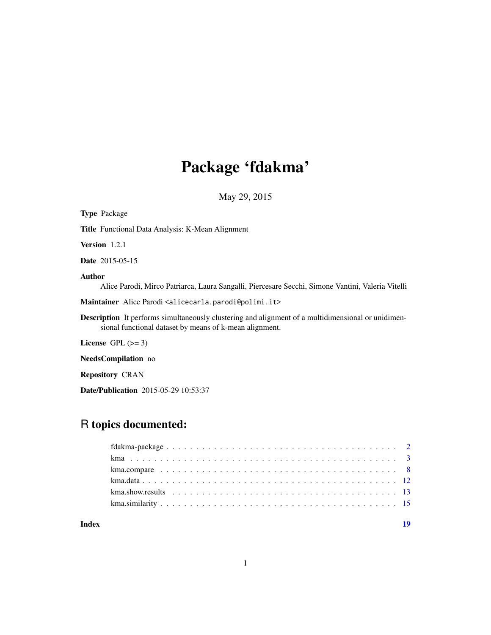# Package 'fdakma'

May 29, 2015

<span id="page-0-0"></span>

| <b>Type Package</b>                                                                                                                                                  |
|----------------------------------------------------------------------------------------------------------------------------------------------------------------------|
| <b>Title</b> Functional Data Analysis: K-Mean Alignment                                                                                                              |
| <b>Version</b> $1.2.1$                                                                                                                                               |
| <b>Date</b> 2015-05-15                                                                                                                                               |
| <b>Author</b><br>Alice Parodi, Mirco Patriarca, Laura Sangalli, Piercesare Secchi, Simone Vantini, Valeria Vitelli                                                   |
| Maintainer Alice Parodi <alicecarla.parodi@polimi.it></alicecarla.parodi@polimi.it>                                                                                  |
| <b>Description</b> It performs simultaneously clustering and alignment of a multidimensional or unidimen-<br>sional functional dataset by means of k-mean alignment. |
| License $GPL \, (>= 3)$                                                                                                                                              |
| <b>NeedsCompilation</b> no                                                                                                                                           |
| <b>Repository CRAN</b>                                                                                                                                               |

Date/Publication 2015-05-29 10:53:37

# R topics documented:

# **Index** 2008 **[19](#page-18-0)99**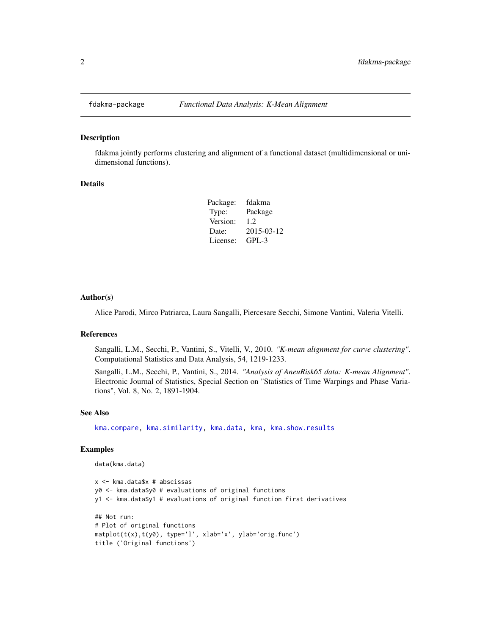<span id="page-1-0"></span>

#### <span id="page-1-1"></span>Description

fdakma jointly performs clustering and alignment of a functional dataset (multidimensional or unidimensional functions).

#### Details

| fdakma     |
|------------|
| Package    |
| 1.2.       |
| 2015-03-12 |
| $GPI - 3$  |
|            |

#### Author(s)

Alice Parodi, Mirco Patriarca, Laura Sangalli, Piercesare Secchi, Simone Vantini, Valeria Vitelli.

# References

Sangalli, L.M., Secchi, P., Vantini, S., Vitelli, V., 2010. *"K-mean alignment for curve clustering"*. Computational Statistics and Data Analysis, 54, 1219-1233.

Sangalli, L.M., Secchi, P., Vantini, S., 2014. *"Analysis of AneuRisk65 data: K-mean Alignment"*. Electronic Journal of Statistics, Special Section on "Statistics of Time Warpings and Phase Variations", Vol. 8, No. 2, 1891-1904.

# See Also

[kma.compare,](#page-7-1) [kma.similarity,](#page-14-1) [kma.data,](#page-11-1) [kma,](#page-2-1) [kma.show.results](#page-12-1)

#### Examples

```
data(kma.data)
```

```
x <- kma.data$x # abscissas
y0 <- kma.data$y0 # evaluations of original functions
y1 <- kma.data$y1 # evaluations of original function first derivatives
## Not run:
# Plot of original functions
matplot(t(x),t(y0), type='l', xlab='x', ylab='orig.func')
title ('Original functions')
```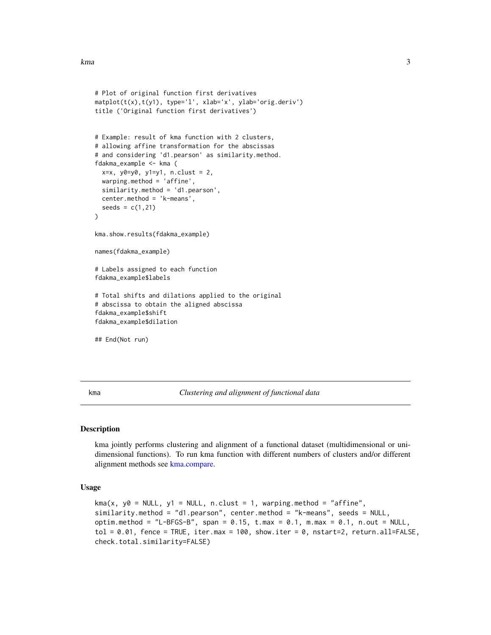```
# Plot of original function first derivatives
matplot(t(x),t(y1), type='l', xlab='x', ylab='orig.deriv')
title ('Original function first derivatives')
# Example: result of kma function with 2 clusters,
# allowing affine transformation for the abscissas
# and considering 'd1.pearson' as similarity.method.
fdakma_example <- kma (
 x=x, y0=y0, y1=y1, n.clust = 2,
 warping.method = 'affine',
 similarity.method = 'd1.pearson',
 center.method = 'k-means',
 seeds = c(1, 21))
kma.show.results(fdakma_example)
names(fdakma_example)
# Labels assigned to each function
fdakma_example$labels
# Total shifts and dilations applied to the original
# abscissa to obtain the aligned abscissa
fdakma_example$shift
fdakma_example$dilation
## End(Not run)
```
<span id="page-2-1"></span>kma *Clustering and alignment of functional data*

#### Description

kma jointly performs clustering and alignment of a functional dataset (multidimensional or unidimensional functions). To run kma function with different numbers of clusters and/or different alignment methods see [kma.compare.](#page-7-1)

#### Usage

```
kma(x, y0 = NULL, y1 = NULL, n.class = 1, warping.method = "affine",similarity.method = "d1.pearson", center.method = "k-means", seeds = NULL,
optim.method = "L-BFGS-B", span = 0.15, t.max = 0.1, m.max = 0.1, n.out = NULL,tol = 0.01, fence = TRUE, iter.max = 100, show.iter = 0, nstart=2, return.all=FALSE,
check.total.similarity=FALSE)
```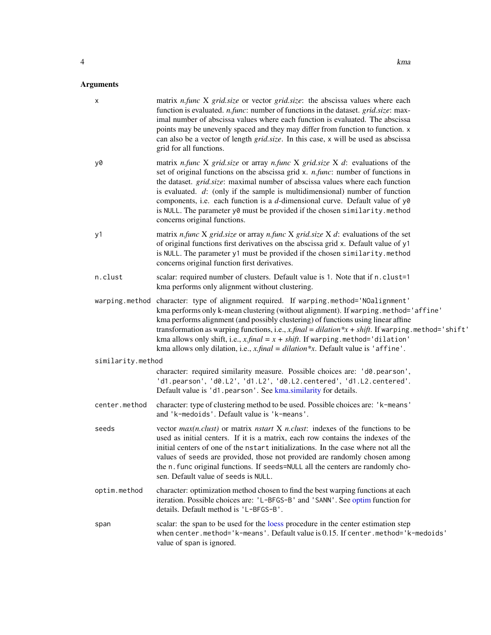<span id="page-3-0"></span>

| X                 | matrix <i>n.func</i> X grid.size or vector grid.size: the abscissa values where each<br>function is evaluated. <i>n.func</i> : number of functions in the dataset. <i>grid.size</i> : max-<br>imal number of abscissa values where each function is evaluated. The abscissa<br>points may be unevenly spaced and they may differ from function to function. x<br>can also be a vector of length grid.size. In this case, x will be used as abscissa<br>grid for all functions.                                                                                    |
|-------------------|-------------------------------------------------------------------------------------------------------------------------------------------------------------------------------------------------------------------------------------------------------------------------------------------------------------------------------------------------------------------------------------------------------------------------------------------------------------------------------------------------------------------------------------------------------------------|
| y0                | matrix <i>n.func</i> X grid.size or array <i>n.func</i> X grid.size X $d$ : evaluations of the<br>set of original functions on the abscissa grid x. n.func: number of functions in<br>the dataset. <i>grid.size</i> : maximal number of abscissa values where each function<br>is evaluated. $d$ : (only if the sample is multidimensional) number of function<br>components, i.e. each function is a $d$ -dimensional curve. Default value of y0<br>is NULL. The parameter y0 must be provided if the chosen similarity.method<br>concerns original functions.   |
| y1                | matrix <i>n.func</i> X grid.size or array <i>n.func</i> X grid.size X $d$ : evaluations of the set<br>of original functions first derivatives on the abscissa grid x. Default value of y1<br>is NULL. The parameter y1 must be provided if the chosen similarity.method<br>concerns original function first derivatives.                                                                                                                                                                                                                                          |
| n.clust           | scalar: required number of clusters. Default value is 1. Note that if n.clust=1<br>kma performs only alignment without clustering.                                                                                                                                                                                                                                                                                                                                                                                                                                |
|                   | warping.method character: type of alignment required. If warping.method='NOalignment'<br>kma performs only k-mean clustering (without alignment). If warping . method='affine'<br>kma performs alignment (and possibly clustering) of functions using linear affine<br>transformation as warping functions, i.e., $x$ , final = dilation *x + shift. If warping . method='shift'<br>kma allows only shift, i.e., $x$ , final = $x + shift$ . If warping method='dilation'<br>kma allows only dilation, i.e., $x$ , final = dilation*x. Default value is 'affine'. |
| similarity.method |                                                                                                                                                                                                                                                                                                                                                                                                                                                                                                                                                                   |
|                   | character: required similarity measure. Possible choices are: 'd0.pearson',<br>'d1.pearson', 'd0.L2', 'd1.L2', 'd0.L2.centered', 'd1.L2.centered'.<br>Default value is 'd1.pearson'. See kma.similarity for details.                                                                                                                                                                                                                                                                                                                                              |
| center.method     | character: type of clustering method to be used. Possible choices are: 'k-means'<br>and 'k-medoids'. Default value is 'k-means'.                                                                                                                                                                                                                                                                                                                                                                                                                                  |
| seeds             | vector $max(n. {\text{clust}})$ or matrix <i>nstart</i> X <i>n.clust</i> : indexes of the functions to be<br>used as initial centers. If it is a matrix, each row contains the indexes of the<br>initial centers of one of the nstart initializations. In the case where not all the<br>values of seeds are provided, those not provided are randomly chosen among<br>the n. func original functions. If seeds=NULL all the centers are randomly cho-<br>sen. Default value of seeds is NULL.                                                                     |
| optim.method      | character: optimization method chosen to find the best warping functions at each<br>iteration. Possible choices are: 'L-BFGS-B' and 'SANN'. See optim function for<br>details. Default method is 'L-BFGS-B'.                                                                                                                                                                                                                                                                                                                                                      |
| span              | scalar: the span to be used for the loess procedure in the center estimation step<br>when center.method='k-means'. Default value is 0.15. If center.method='k-medoids'<br>value of span is ignored.                                                                                                                                                                                                                                                                                                                                                               |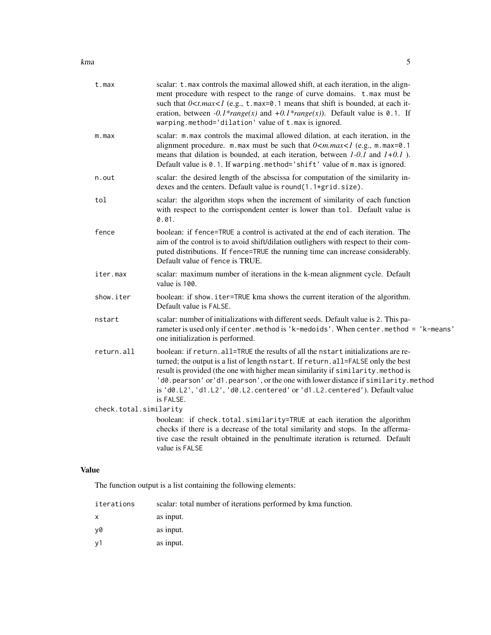| t.max                  | scalar: t.max controls the maximal allowed shift, at each iteration, in the align-<br>ment procedure with respect to the range of curve domains. t.max must be<br>such that $0 < t$ max $1$ (e.g., t. max=0.1 means that shift is bounded, at each it-<br>eration, between $-0.1*range(x)$ and $+0.1*range(x)$ ). Default value is 0.1. If<br>warping.method='dilation' value of t.max is ignored.                                     |
|------------------------|----------------------------------------------------------------------------------------------------------------------------------------------------------------------------------------------------------------------------------------------------------------------------------------------------------------------------------------------------------------------------------------------------------------------------------------|
| m.max                  | scalar: m.max controls the maximal allowed dilation, at each iteration, in the<br>alignment procedure. m.max must be such that $0 \le m.max \le 1$ (e.g., m.max=0.1<br>means that dilation is bounded, at each iteration, between $1-0.1$ and $1+0.1$ ).<br>Default value is 0.1. If warping.method='shift' value of m.max is ignored.                                                                                                 |
| n.out                  | scalar: the desired length of the abscissa for computation of the similarity in-<br>dexes and the centers. Default value is round(1.1*grid.size).                                                                                                                                                                                                                                                                                      |
| tol                    | scalar: the algorithm stops when the increment of similarity of each function<br>with respect to the corrispondent center is lower than tol. Default value is<br>0.01.                                                                                                                                                                                                                                                                 |
| fence                  | boolean: if fence=TRUE a control is activated at the end of each iteration. The<br>aim of the control is to avoid shift/dilation outlighers with respect to their com-<br>puted distributions. If fence=TRUE the running time can increase considerably.<br>Default value of fence is TRUE.                                                                                                                                            |
| iter.max               | scalar: maximum number of iterations in the k-mean alignment cycle. Default<br>value is 100.                                                                                                                                                                                                                                                                                                                                           |
| show.iter              | boolean: if show.iter=TRUE kma shows the current iteration of the algorithm.<br>Default value is FALSE.                                                                                                                                                                                                                                                                                                                                |
| nstart                 | scalar: number of initializations with different seeds. Default value is 2. This pa-<br>rameter is used only if center. method is 'k-medoids'. When center. method = 'k-means'<br>one initialization is performed.                                                                                                                                                                                                                     |
| return.all             | boolean: if return.all=TRUE the results of all the nstart initializations are re-<br>turned; the output is a list of length nstart. If return.all=FALSE only the best<br>result is provided (the one with higher mean similarity if similarity.method is<br>'d0.pearson' or'd1.pearson', or the one with lower distance if similarity.method<br>is 'd0.L2', 'd1.L2', 'd0.L2.centered' or 'd1.L2.centered'). Default value<br>is FALSE. |
| check.total.similarity |                                                                                                                                                                                                                                                                                                                                                                                                                                        |
|                        | boolean: if check.total.similarity=TRUE at each iteration the algorithm<br>checks if there is a decrease of the total similarity and stops. In the afferma-<br>tive case the result obtained in the penultimate iteration is returned. Default<br>value is FALSE                                                                                                                                                                       |
|                        |                                                                                                                                                                                                                                                                                                                                                                                                                                        |

# Value

The function output is a list containing the following elements:

| scalar: total number of iterations performed by kma function. |
|---------------------------------------------------------------|
| as input.                                                     |
| as input.                                                     |
| as input.                                                     |
|                                                               |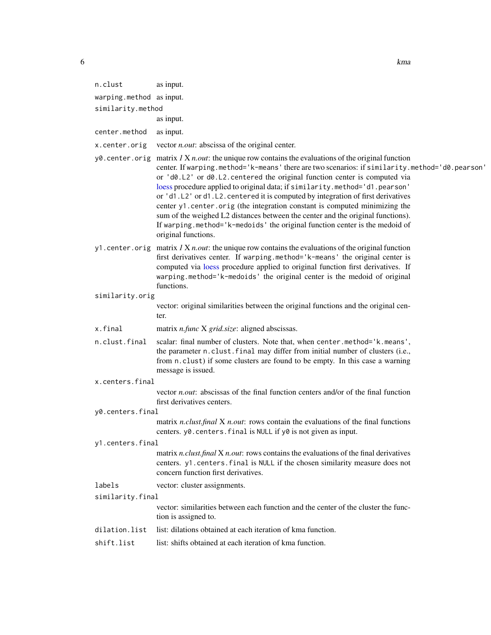<span id="page-5-0"></span>

| 6                 |                          |                                                        | kma |
|-------------------|--------------------------|--------------------------------------------------------|-----|
|                   |                          |                                                        |     |
|                   | n.clust                  | as input.                                              |     |
|                   | warping.method as input. |                                                        |     |
| similarity.method |                          |                                                        |     |
|                   |                          | as input.                                              |     |
|                   | center.method            | as input.                                              |     |
|                   | x.center.orig            | vector <i>n.out</i> : abscissa of the original center. |     |

- y0.center.orig matrix *1* X *n.out*: the unique row contains the evaluations of the original function center. If warping.method='k-means' there are two scenarios: if similarity.method='d0.pearson' or 'd0.L2' or d0.L2.centered the original function center is computed via [loess](#page-0-0) procedure applied to original data; if similarity.method='d1.pearson' or 'd1.L2' or d1.L2. centered it is computed by integration of first derivatives center y1.center.orig (the integration constant is computed minimizing the sum of the weighed L2 distances between the center and the original functions). If warping.method='k-medoids' the original function center is the medoid of original functions.
- y1.center.orig matrix *1* X *n.out*: the unique row contains the evaluations of the original function first derivatives center. If warping.method='k-means' the original center is computed via [loess](#page-0-0) procedure applied to original function first derivatives. If warping.method='k-medoids' the original center is the medoid of original functions.

#### similarity.orig

vector: original similarities between the original functions and the original center.

- x.final matrix *n.func* X *grid.size*: aligned abscissas.
- n.clust.final scalar: final number of clusters. Note that, when center.method='k.means', the parameter n.clust.final may differ from initial number of clusters (i.e., from n.clust) if some clusters are found to be empty. In this case a warning message is issued.
- x.centers.final

vector *n.out*: abscissas of the final function centers and/or of the final function first derivatives centers.

y0.centers.final

matrix *n.clust.final* X *n.out*: rows contain the evaluations of the final functions centers. y0.centers.final is NULL if y0 is not given as input.

#### y1.centers.final

matrix *n.clust.final* X *n.out*: rows contains the evaluations of the final derivatives centers. y1.centers.final is NULL if the chosen similarity measure does not concern function first derivatives.

labels vector: cluster assignments.

#### similarity.final

vector: similarities between each function and the center of the cluster the function is assigned to.

- dilation.list list: dilations obtained at each iteration of kma function.
- shift.list list: shifts obtained at each iteration of kma function.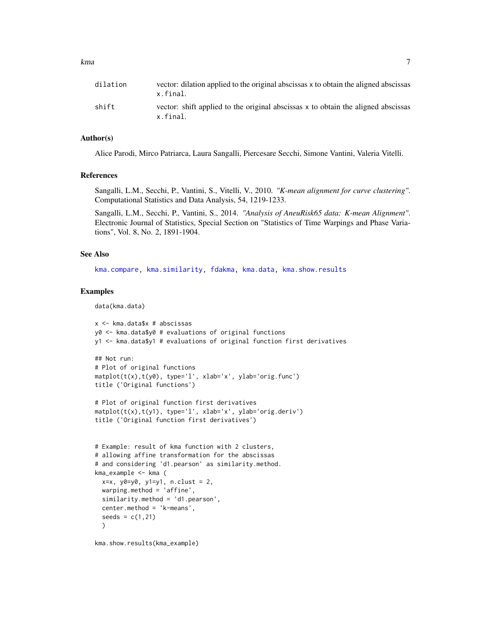<span id="page-6-0"></span>

| dilation | vector: dilation applied to the original abscissas x to obtain the aligned abscissas<br>x.final. |
|----------|--------------------------------------------------------------------------------------------------|
| shift    | vector: shift applied to the original abscissas x to obtain the aligned abscissas<br>x.final.    |

# Author(s)

Alice Parodi, Mirco Patriarca, Laura Sangalli, Piercesare Secchi, Simone Vantini, Valeria Vitelli.

# References

Sangalli, L.M., Secchi, P., Vantini, S., Vitelli, V., 2010. *"K-mean alignment for curve clustering"*. Computational Statistics and Data Analysis, 54, 1219-1233.

Sangalli, L.M., Secchi, P., Vantini, S., 2014. *"Analysis of AneuRisk65 data: K-mean Alignment"*. Electronic Journal of Statistics, Special Section on "Statistics of Time Warpings and Phase Variations", Vol. 8, No. 2, 1891-1904.

# See Also

[kma.compare,](#page-7-1) [kma.similarity,](#page-14-1) [fdakma,](#page-1-1) [kma.data,](#page-11-1) [kma.show.results](#page-12-1)

# Examples

```
data(kma.data)
```

```
x <- kma.data$x # abscissas
y0 <- kma.data$y0 # evaluations of original functions
y1 <- kma.data$y1 # evaluations of original function first derivatives
```

```
## Not run:
# Plot of original functions
matplot(t(x),t(y0), type='l', xlab='x', ylab='orig.func')
title ('Original functions')
```

```
# Plot of original function first derivatives
matplot(t(x),t(y1), type='l', xlab='x', ylab='orig.deriv')
title ('Original function first derivatives')
```

```
# Example: result of kma function with 2 clusters,
# allowing affine transformation for the abscissas
# and considering 'd1.pearson' as similarity.method.
kma_example <- kma (
 x=x, y0=y0, y1=y1, n.clust = 2,
 warping.method = 'affine',
 similarity.method = 'd1.pearson',
 center.method = 'k-means',
 seeds = c(1, 21))
```
kma.show.results(kma\_example)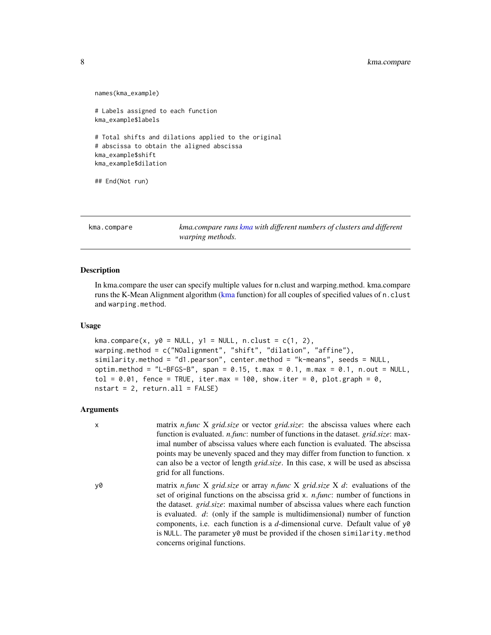# <span id="page-7-0"></span>8 kma.compare

```
names(kma_example)
# Labels assigned to each function
kma_example$labels
# Total shifts and dilations applied to the original
# abscissa to obtain the aligned abscissa
kma_example$shift
kma_example$dilation
## End(Not run)
```
<span id="page-7-1"></span>kma.compare *kma.compare runs [kma](#page-2-1) with different numbers of clusters and different warping methods.*

#### **Description**

In kma.compare the user can specify multiple values for n.clust and warping.method. kma.compare runs the K-Mean Alignment algorithm [\(kma](#page-2-1) function) for all couples of specified values of n.clust and warping.method.

#### Usage

```
kma.compare(x, y0 = NULL, y1 = NULL, n.clust = c(1, 2),
warping.method = c("NOalignment", "shift", "dilation", "affine"),
similarity.method = "d1.pearson", center.method = "k-means", seeds = NULL,
optim.method = "L-BFGS-B", span = 0.15, t.max = 0.1, m.max = 0.1, n.out = NULL,
tol = 0.01, fence = TRUE, iter.max = 100, show.iter = 0, plot.graph = 0,
nstart = 2, return. all = FALSE
```
# Arguments

| $\mathsf{x}$ | matrix <i>n.func</i> X grid.size or vector grid.size: the abscissa values where each               |
|--------------|----------------------------------------------------------------------------------------------------|
|              | function is evaluated. <i>n.func</i> : number of functions in the dataset. <i>grid.size</i> : max- |
|              | imal number of abscissa values where each function is evaluated. The abscissa                      |
|              | points may be unevenly spaced and they may differ from function to function. x                     |
|              | can also be a vector of length <i>grid.size</i> . In this case, x will be used as abscissa         |
|              | grid for all functions.                                                                            |

y0 matrix *n.func* X *grid.size* or array *n.func* X *grid.size* X *d*: evaluations of the set of original functions on the abscissa grid x. *n.func*: number of functions in the dataset. *grid.size*: maximal number of abscissa values where each function is evaluated. *d*: (only if the sample is multidimensional) number of function components, i.e. each function is a *d*-dimensional curve. Default value of y0 is NULL. The parameter y0 must be provided if the chosen similarity.method concerns original functions.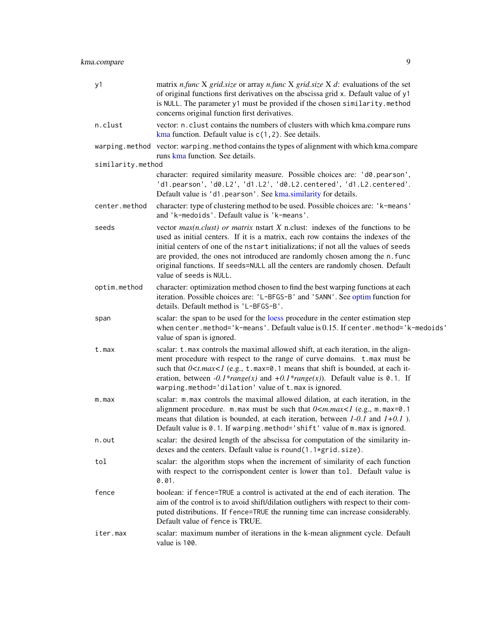<span id="page-8-0"></span>kma.compare 9

| y1                | matrix <i>n.func</i> X grid.size or array <i>n.func</i> X grid.size X d: evaluations of the set<br>of original functions first derivatives on the abscissa grid x. Default value of y1<br>is NULL. The parameter y1 must be provided if the chosen similarity.method<br>concerns original function first derivatives.                                                                                                                                     |
|-------------------|-----------------------------------------------------------------------------------------------------------------------------------------------------------------------------------------------------------------------------------------------------------------------------------------------------------------------------------------------------------------------------------------------------------------------------------------------------------|
| n.clust           | vector: n. clust contains the numbers of clusters with which kma.compare runs<br>kma function. Default value is $c(1, 2)$ . See details.                                                                                                                                                                                                                                                                                                                  |
|                   | warping.method vector: warping.method contains the types of alignment with which kma.compare<br>runs kma function. See details.                                                                                                                                                                                                                                                                                                                           |
| similarity.method |                                                                                                                                                                                                                                                                                                                                                                                                                                                           |
|                   | character: required similarity measure. Possible choices are: 'd0.pearson',<br>'d1.pearson', 'd0.L2', 'd1.L2', 'd0.L2.centered', 'd1.L2.centered'.<br>Default value is 'd1.pearson'. See kma.similarity for details.                                                                                                                                                                                                                                      |
| center.method     | character: type of clustering method to be used. Possible choices are: 'k-means'<br>and 'k-medoids'. Default value is 'k-means'.                                                                                                                                                                                                                                                                                                                          |
| seeds             | vector $max(n. clust)$ or matrix nstart X n.clust: indexes of the functions to be<br>used as initial centers. If it is a matrix, each row contains the indexes of the<br>initial centers of one of the nstart initializations; if not all the values of seeds<br>are provided, the ones not introduced are randomly chosen among the n. func<br>original functions. If seeds=NULL all the centers are randomly chosen. Default<br>value of seeds is NULL. |
| optim.method      | character: optimization method chosen to find the best warping functions at each<br>iteration. Possible choices are: 'L-BFGS-B' and 'SANN'. See optim function for<br>details. Default method is 'L-BFGS-B'.                                                                                                                                                                                                                                              |
| span              | scalar: the span to be used for the loess procedure in the center estimation step<br>when center.method='k-means'. Default value is 0.15. If center.method='k-medoids'<br>value of span is ignored.                                                                                                                                                                                                                                                       |
| t.max             | scalar: t.max controls the maximal allowed shift, at each iteration, in the align-<br>ment procedure with respect to the range of curve domains. t.max must be<br>such that $0 \lt t.max \lt l$ (e.g., t. max=0.1 means that shift is bounded, at each it-<br>eration, between $-0.1*range(x)$ and $+0.1*range(x)$ ). Default value is 0.1. If<br>warping.method='dilation' value of t.max is ignored.                                                    |
| m.max             | scalar: m.max controls the maximal allowed dilation, at each iteration, in the<br>alignment procedure. m.max must be such that $0 \le m.max \le 1$ (e.g., m.max=0.1<br>means that dilation is bounded, at each iteration, between $1-0.1$ and $1+0.1$ ).<br>Default value is 0.1. If warping.method='shift' value of m.max is ignored.                                                                                                                    |
| n.out             | scalar: the desired length of the abscissa for computation of the similarity in-<br>dexes and the centers. Default value is round(1.1*grid.size).                                                                                                                                                                                                                                                                                                         |
| tol               | scalar: the algorithm stops when the increment of similarity of each function<br>with respect to the corrispondent center is lower than tol. Default value is<br>0.01.                                                                                                                                                                                                                                                                                    |
| fence             | boolean: if fence=TRUE a control is activated at the end of each iteration. The<br>aim of the control is to avoid shift/dilation outlighers with respect to their com-<br>puted distributions. If fence=TRUE the running time can increase considerably.<br>Default value of fence is TRUE.                                                                                                                                                               |
| iter.max          | scalar: maximum number of iterations in the k-mean alignment cycle. Default<br>value is 100.                                                                                                                                                                                                                                                                                                                                                              |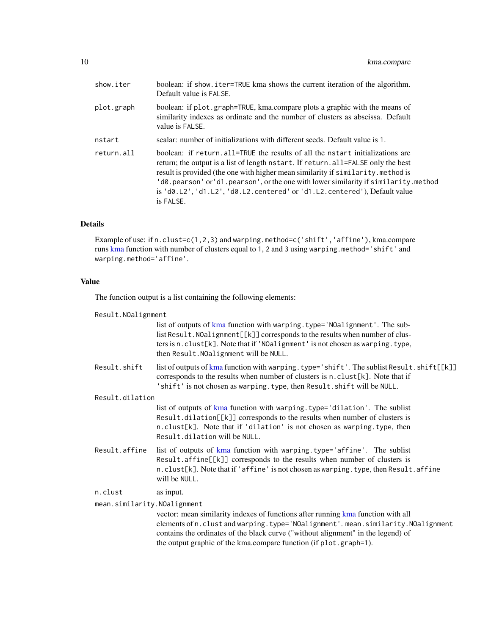| show.iter  | boolean: if show.iter=TRUE kma shows the current iteration of the algorithm.<br>Default value is FALSE.                                                                                                                                                                                                                                                                                                                                  |
|------------|------------------------------------------------------------------------------------------------------------------------------------------------------------------------------------------------------------------------------------------------------------------------------------------------------------------------------------------------------------------------------------------------------------------------------------------|
| plot.graph | boolean: if plot.graph=TRUE, kma.compare plots a graphic with the means of<br>similarity indexes as ordinate and the number of clusters as abscissa. Default<br>value is FALSE.                                                                                                                                                                                                                                                          |
| nstart     | scalar: number of initializations with different seeds. Default value is 1.                                                                                                                                                                                                                                                                                                                                                              |
| return.all | boolean: if return, all=TRUE the results of all the nstart initializations are<br>return; the output is a list of length nstart. If return, all=FALSE only the best<br>result is provided (the one with higher mean similarity if similarity.method is<br>'d0.pearson' or'd1.pearson', or the one with lower similarity if similarity.method<br>is $'d0.L2', 'd1.L2', 'd0.L2.centered' or 'd1.L2.centered'), Default value$<br>is FALSE. |

# Details

Example of use: if n.clust=c(1,2,3) and warping.method=c('shift','affine'), kma.compare runs [kma](#page-2-1) function with number of clusters equal to 1, 2 and 3 using warping.method='shift' and warping.method='affine'.

# Value

The function output is a list containing the following elements:

| Result.NOalignment          |                                                                                                                                                                                                                                                                                                                             |  |
|-----------------------------|-----------------------------------------------------------------------------------------------------------------------------------------------------------------------------------------------------------------------------------------------------------------------------------------------------------------------------|--|
|                             | list of outputs of kma function with warping.type='NOalignment'. The sub-<br>list Result. NOalignment [[k]] corresponds to the results when number of clus-<br>ters is n.clust[k]. Note that if 'NOalignment' is not chosen as warping.type,<br>then Result. NOalignment will be NULL.                                      |  |
| Result.shift                | list of outputs of kma function with warping. type='shift'. The sublist Result.shift[[k]]<br>corresponds to the results when number of clusters is n. clust[k]. Note that if<br>'shift' is not chosen as warping. type, then Result. shift will be NULL.                                                                    |  |
| Result.dilation             |                                                                                                                                                                                                                                                                                                                             |  |
|                             | list of outputs of kma function with warping.type='dilation'. The sublist<br>Result.dilation[[k]] corresponds to the results when number of clusters is<br>n.clust[k]. Note that if 'dilation' is not chosen as warping.type, then<br>Result.dilation will be NULL.                                                         |  |
| Result.affine               | list of outputs of kma function with warping.type='affine'. The sublist<br>Result.affine[[k]] corresponds to the results when number of clusters is<br>n.clust[k]. Note that if 'affine' is not chosen as warping.type, then Result.affine<br>will be NULL.                                                                 |  |
| n.clust                     | as input.                                                                                                                                                                                                                                                                                                                   |  |
| mean.similarity.NOalignment | vector: mean similarity indexes of functions after running kma function with all<br>elements of n.clust and warping.type='NOalignment'.mean.similarity.NOalignment<br>contains the ordinates of the black curve ("without alignment" in the legend) of<br>the output graphic of the kma.compare function (if plot.graph=1). |  |
|                             |                                                                                                                                                                                                                                                                                                                             |  |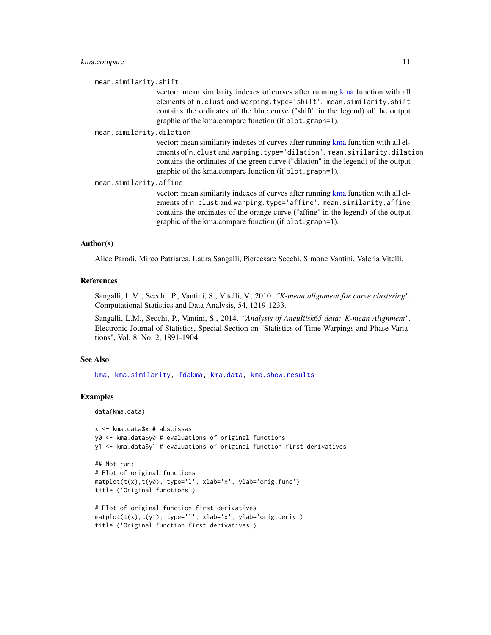<span id="page-10-0"></span>mean.similarity.shift

vector: mean similarity indexes of curves after running [kma](#page-2-1) function with all elements of n.clust and warping.type='shift'. mean.similarity.shift contains the ordinates of the blue curve ("shift" in the legend) of the output graphic of the kma.compare function (if plot.graph=1).

mean.similarity.dilation

vector: mean similarity indexes of curves after running [kma](#page-2-1) function with all elements of n.clust and warping.type='dilation'. mean.similarity.dilation contains the ordinates of the green curve ("dilation" in the legend) of the output graphic of the kma.compare function (if plot.graph=1).

mean.similarity.affine

vector: mean similarity indexes of curves after running [kma](#page-2-1) function with all elements of n.clust and warping.type='affine'. mean.similarity.affine contains the ordinates of the orange curve ("affine" in the legend) of the output graphic of the kma.compare function (if plot.graph=1).

# Author(s)

Alice Parodi, Mirco Patriarca, Laura Sangalli, Piercesare Secchi, Simone Vantini, Valeria Vitelli.

#### References

Sangalli, L.M., Secchi, P., Vantini, S., Vitelli, V., 2010. *"K-mean alignment for curve clustering"*. Computational Statistics and Data Analysis, 54, 1219-1233.

Sangalli, L.M., Secchi, P., Vantini, S., 2014. *"Analysis of AneuRisk65 data: K-mean Alignment"*. Electronic Journal of Statistics, Special Section on "Statistics of Time Warpings and Phase Variations", Vol. 8, No. 2, 1891-1904.

# See Also

[kma,](#page-2-1) [kma.similarity,](#page-14-1) [fdakma,](#page-1-1) [kma.data,](#page-11-1) [kma.show.results](#page-12-1)

# Examples

```
data(kma.data)
```

```
x <- kma.data$x # abscissas
y0 <- kma.data$y0 # evaluations of original functions
y1 <- kma.data$y1 # evaluations of original function first derivatives
```

```
## Not run:
# Plot of original functions
matplot(t(x),t(y0), type='l', xlab='x', ylab='orig.func')
title ('Original functions')
```

```
# Plot of original function first derivatives
matplot(t(x),t(y1), type='l', xlab='x', ylab='orig.deriv')
title ('Original function first derivatives')
```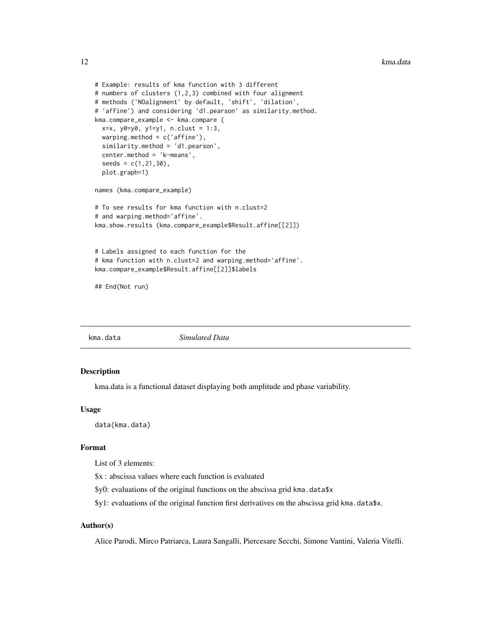```
# Example: results of kma function with 3 different
# numbers of clusters (1,2,3) combined with four alignment
# methods ('NOalignment' by default, 'shift', 'dilation',
# 'affine') and considering 'd1.pearson' as similarity.method.
kma.compare_example <- kma.compare (
  x=x, y0=y0, y1=y1, n.clust = 1:3,
  warping.method = c('affine'),similarity.method = 'd1.pearson',
  center.method = 'k-means',
  seeds = c(1, 21, 30),plot.graph=1)
names (kma.compare_example)
# To see results for kma function with n.clust=2
# and warping.method='affine'.
kma.show.results (kma.compare_example$Result.affine[[2]])
# Labels assigned to each function for the
# kma function with n.clust=2 and warping.method='affine'.
kma.compare_example$Result.affine[[2]]$labels
```
## End(Not run)

<span id="page-11-1"></span>kma.data *Simulated Data*

# Description

kma.data is a functional dataset displaying both amplitude and phase variability.

# Usage

data(kma.data)

# Format

List of 3 elements:

\$x : abscissa values where each function is evaluated

\$y0: evaluations of the original functions on the abscissa grid kma.data\$x

 $$y1:$  evaluations of the original function first derivatives on the abscissa grid kma.data $$x$ .

# Author(s)

Alice Parodi, Mirco Patriarca, Laura Sangalli, Piercesare Secchi, Simone Vantini, Valeria Vitelli.

<span id="page-11-0"></span>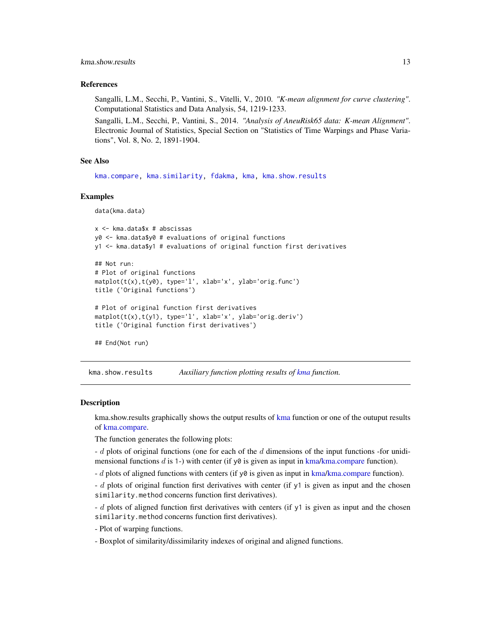# <span id="page-12-0"></span>kma.show.results 13

# References

Sangalli, L.M., Secchi, P., Vantini, S., Vitelli, V., 2010. *"K-mean alignment for curve clustering"*. Computational Statistics and Data Analysis, 54, 1219-1233.

Sangalli, L.M., Secchi, P., Vantini, S., 2014. *"Analysis of AneuRisk65 data: K-mean Alignment"*. Electronic Journal of Statistics, Special Section on "Statistics of Time Warpings and Phase Variations", Vol. 8, No. 2, 1891-1904.

# See Also

[kma.compare,](#page-7-1) [kma.similarity,](#page-14-1) [fdakma,](#page-1-1) [kma,](#page-2-1) [kma.show.results](#page-12-1)

#### Examples

data(kma.data)

```
x <- kma.data$x # abscissas
y0 <- kma.data$y0 # evaluations of original functions
y1 <- kma.data$y1 # evaluations of original function first derivatives
```

```
## Not run:
# Plot of original functions
matplot(t(x),t(y0), type='l', xlab='x', ylab='orig.func')
title ('Original functions')
```

```
# Plot of original function first derivatives
matplot(t(x),t(y1), type='l', xlab='x', ylab='orig.deriv')
title ('Original function first derivatives')
```

```
## End(Not run)
```
<span id="page-12-1"></span>kma.show.results *Auxiliary function plotting results of [kma](#page-2-1) function.*

## **Description**

kma.show.results graphically shows the output results of [kma](#page-2-1) function or one of the outuput results of [kma.compare.](#page-7-1)

The function generates the following plots:

 $-d$  plots of original functions (one for each of the d dimensions of the input functions -for unidimensional functions d is 1-) with center (if  $y\varnothing$  is given as input in [kma](#page-2-1)[/kma.compare](#page-7-1) function).

 $-d$  plots of aligned functions with centers (if  $y\theta$  is given as input in [kma](#page-2-1)[/kma.compare](#page-7-1) function).

- d plots of original function first derivatives with center (if y1 is given as input and the chosen similarity.method concerns function first derivatives).

- d plots of aligned function first derivatives with centers (if y1 is given as input and the chosen similarity.method concerns function first derivatives).

- Plot of warping functions.
- Boxplot of similarity/dissimilarity indexes of original and aligned functions.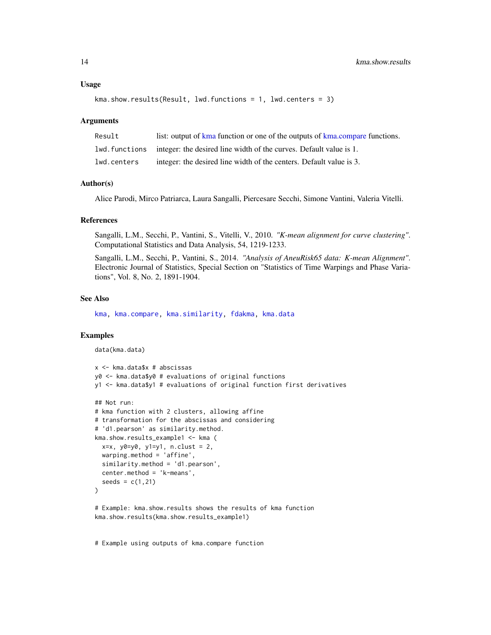```
kma.show.results(Result, lwd.functions = 1, lwd.centers = 3)
```
#### Arguments

| Result      | list: output of kma function or one of the outputs of kma.compare functions.        |
|-------------|-------------------------------------------------------------------------------------|
|             | 1 lwd. functions integer: the desired line width of the curves. Default value is 1. |
| lwd.centers | integer: the desired line width of the centers. Default value is 3.                 |

# Author(s)

Alice Parodi, Mirco Patriarca, Laura Sangalli, Piercesare Secchi, Simone Vantini, Valeria Vitelli.

# References

Sangalli, L.M., Secchi, P., Vantini, S., Vitelli, V., 2010. *"K-mean alignment for curve clustering"*. Computational Statistics and Data Analysis, 54, 1219-1233.

Sangalli, L.M., Secchi, P., Vantini, S., 2014. *"Analysis of AneuRisk65 data: K-mean Alignment"*. Electronic Journal of Statistics, Special Section on "Statistics of Time Warpings and Phase Variations", Vol. 8, No. 2, 1891-1904.

# See Also

[kma,](#page-2-1) [kma.compare,](#page-7-1) [kma.similarity,](#page-14-1) [fdakma,](#page-1-1) [kma.data](#page-11-1)

# Examples

```
data(kma.data)
```

```
x <- kma.data$x # abscissas
y0 <- kma.data$y0 # evaluations of original functions
y1 <- kma.data$y1 # evaluations of original function first derivatives
## Not run:
# kma function with 2 clusters, allowing affine
# transformation for the abscissas and considering
# 'd1.pearson' as similarity.method.
kma.show.results_example1 <- kma (
  x=x, y0=y0, y1=y1, n.clust = 2,
  warping.method = 'affine',
  similarity.method = 'd1.pearson',
  center.method = 'k-means',
  seeds = c(1, 21))
# Example: kma.show.results shows the results of kma function
kma.show.results(kma.show.results_example1)
```
# Example using outputs of kma.compare function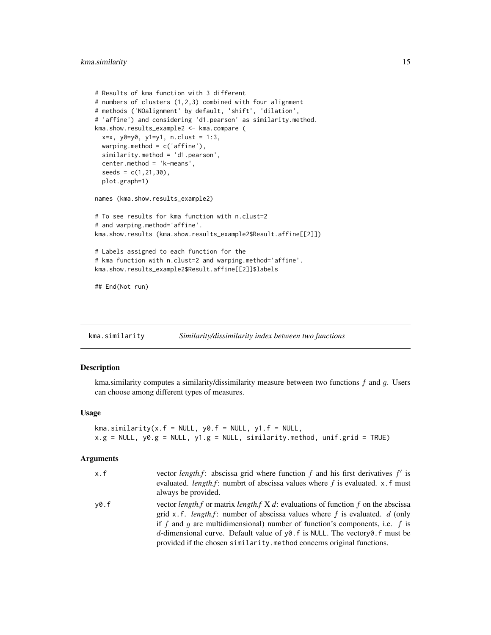```
# Results of kma function with 3 different
# numbers of clusters (1,2,3) combined with four alignment
# methods ('NOalignment' by default, 'shift', 'dilation',
# 'affine') and considering 'd1.pearson' as similarity.method.
kma.show.results_example2 <- kma.compare (
  x=x, y0=y0, y1=y1, n.clust = 1:3,
  warping.method = c('affine'),
  similarity.method = 'd1.pearson',
  center.method = 'k-means',
  seeds = c(1, 21, 30),
  plot.graph=1)
names (kma.show.results_example2)
# To see results for kma function with n.clust=2
# and warping.method='affine'.
kma.show.results (kma.show.results_example2$Result.affine[[2]])
# Labels assigned to each function for the
# kma function with n.clust=2 and warping.method='affine'.
kma.show.results_example2$Result.affine[[2]]$labels
## End(Not run)
```
<span id="page-14-1"></span>kma.similarity *Similarity/dissimilarity index between two functions*

# **Description**

kma.similarity computes a similarity/dissimilarity measure between two functions  $f$  and  $g$ . Users can choose among different types of measures.

# Usage

```
kma.similarity(x.f = NULL, y0.f = NULL, y1.f = NULL,x.g = NULL, y0.g = NULL, y1.g = NULL, similarity method, unif.grid = TRUE)
```
#### Arguments

| x.f  | vector <i>length.f</i> : abscissa grid where function f and his first derivatives $f'$ is<br>evaluated. <i>length.f</i> : numbrt of abscissa values where f is evaluated. x.f must<br>always be provided.                                                                                                                                                                                                                                            |
|------|------------------------------------------------------------------------------------------------------------------------------------------------------------------------------------------------------------------------------------------------------------------------------------------------------------------------------------------------------------------------------------------------------------------------------------------------------|
| v0.f | vector length, f or matrix length, f X d: evaluations of function f on the abscissa<br>grid x, f. <i>length.f</i> : number of abscissa values where f is evaluated. d (only<br>if f and g are multidimensional) number of function's components, i.e. f is<br>d-dimensional curve. Default value of $\gamma\varnothing$ . f is NULL. The vectory $\varnothing$ . f must be<br>provided if the chosen similarity. method concerns original functions. |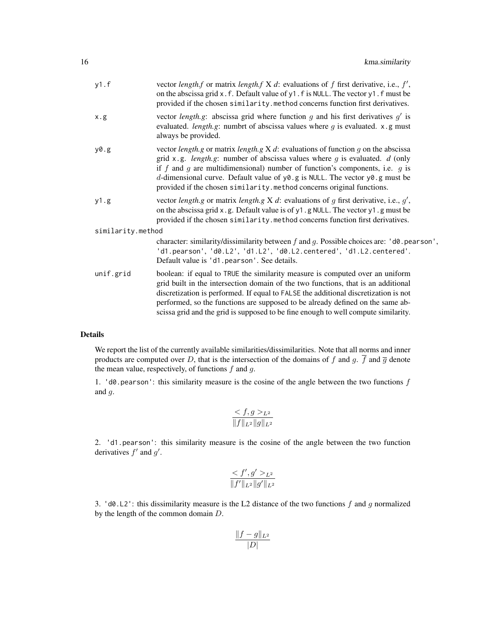| y1.f              | vector <i>length.f</i> or matrix <i>length.f</i> $X$ d: evaluations of f first derivative, i.e., $f'$ ,<br>on the abscissa grid x.f. Default value of y1.f is NULL. The vector y1.f must be<br>provided if the chosen similarity.method concerns function first derivatives.                                                                                                                                                                     |
|-------------------|--------------------------------------------------------------------------------------------------------------------------------------------------------------------------------------------------------------------------------------------------------------------------------------------------------------------------------------------------------------------------------------------------------------------------------------------------|
| x.g.              | vector <i>length.g</i> : abscissa grid where function $g$ and his first derivatives $g'$ is<br>evaluated. <i>length.g</i> : numbrt of abscissa values where $q$ is evaluated. $x$ .g must<br>always be provided.                                                                                                                                                                                                                                 |
| y0.g              | vector <i>length.g</i> or matrix <i>length.g</i> $X$ $d$ : evaluations of function $g$ on the abscissa<br>grid x.g. <i>length.g</i> : number of abscissa values where $q$ is evaluated. $d$ (only<br>if f and g are multidimensional) number of function's components, i.e. $q$ is<br>d-dimensional curve. Default value of $y0$ .g is NULL. The vector $y0$ .g must be<br>provided if the chosen similarity.method concerns original functions. |
| y1.g              | vector length g or matrix length g X d: evaluations of g first derivative, i.e., $g'$ ,<br>on the abscissa grid x.g. Default value is of y1.g NULL. The vector y1.g must be<br>provided if the chosen similarity.method concerns function first derivatives.                                                                                                                                                                                     |
| similarity.method |                                                                                                                                                                                                                                                                                                                                                                                                                                                  |
|                   | character: similarity/dissimilarity between f and g. Possible choices are: ' $d\theta$ pearson',<br>'d1.pearson', 'd0.L2', 'd1.L2', 'd0.L2.centered', 'd1.L2.centered'.<br>Default value is 'd1.pearson'. See details.                                                                                                                                                                                                                           |
| unif.grid         | boolean: if equal to TRUE the similarity measure is computed over an uniform<br>grid built in the intersection domain of the two functions, that is an additional<br>discretization is performed. If equal to FALSE the additional discretization is not<br>performed, so the functions are supposed to be already defined on the same ab-<br>scissa grid and the grid is supposed to be fine enough to well compute similarity.                 |

# Details

We report the list of the currently available similarities/dissimilarities. Note that all norms and inner products are computed over D, that is the intersection of the domains of f and g.  $\overline{f}$  and  $\overline{g}$  denote the mean value, respectively, of functions  $f$  and  $g$ .

1.  $'d0.$  pearson': this similarity measure is the cosine of the angle between the two functions  $f$ and g.

$$
\frac{f,g >_{L^2}}{\|f\|_{L^2} \|g\|_{L^2}}
$$

2. 'd1.pearson': this similarity measure is the cosine of the angle between the two function derivatives  $f'$  and  $g'$ .

$$
\frac{f', g' >_{L^2}}{\|f'\|_{L^2} \|g'\|_{L^2}}
$$

3.  $'d0.L2'$ : this dissimilarity measure is the L2 distance of the two functions f and g normalized by the length of the common domain D.

$$
\frac{\|f-g\|_{L^2}}{|D|}
$$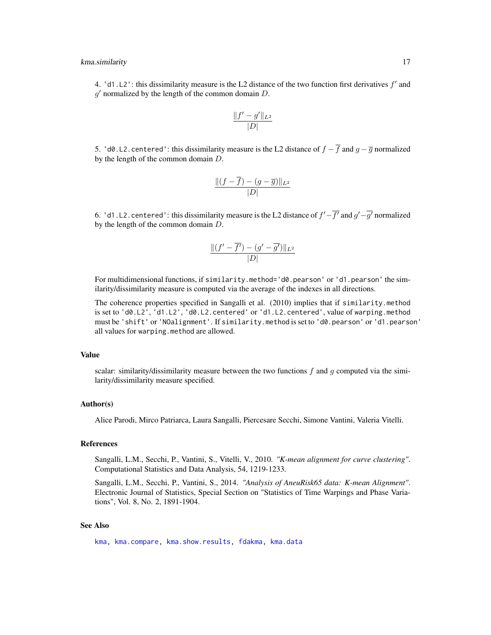#### <span id="page-16-0"></span>kma.similarity 17

4. 'd1.L2': this dissimilarity measure is the L2 distance of the two function first derivatives  $f'$  and  $g'$  normalized by the length of the common domain  $D$ .

$$
\frac{\|f'-g'\|_{L^2}}{|D|}
$$

5. 'd0.L2.centered': this dissimilarity measure is the L2 distance of  $f - \overline{f}$  and  $g - \overline{g}$  normalized by the length of the common domain D.

$$
\frac{\|(f-\overline{f})-(g-\overline{g})\|_{L^2}}{|D|}
$$

6. 'd1.L2.centered': this dissimilarity measure is the L2 distance of  $f' - \overline{f'}$  and  $g' - \overline{g'}$  normalized by the length of the common domain D.

$$
\frac{\|(f'-\overline{f'})-(g'-\overline{g'})\|_{L^2}}{|D|}
$$

For multidimensional functions, if similarity.method='d0.pearson' or 'd1.pearson' the similarity/dissimilarity measure is computed via the average of the indexes in all directions.

The coherence properties specified in Sangalli et al. (2010) implies that if similarity.method is set to 'd0.L2', 'd1.L2', 'd0.L2.centered' or 'd1.L2.centered', value of warping.method must be 'shift' or 'NOalignment'. If similarity.method is set to 'd0.pearson' or 'd1.pearson' all values for warping.method are allowed.

#### Value

scalar: similarity/dissimilarity measure between the two functions  $f$  and  $g$  computed via the similarity/dissimilarity measure specified.

# Author(s)

Alice Parodi, Mirco Patriarca, Laura Sangalli, Piercesare Secchi, Simone Vantini, Valeria Vitelli.

# References

Sangalli, L.M., Secchi, P., Vantini, S., Vitelli, V., 2010. *"K-mean alignment for curve clustering"*. Computational Statistics and Data Analysis, 54, 1219-1233.

Sangalli, L.M., Secchi, P., Vantini, S., 2014. *"Analysis of AneuRisk65 data: K-mean Alignment"*. Electronic Journal of Statistics, Special Section on "Statistics of Time Warpings and Phase Variations", Vol. 8, No. 2, 1891-1904.

# See Also

[kma,](#page-2-1) [kma.compare,](#page-7-1) [kma.show.results,](#page-12-1) [fdakma,](#page-1-1) [kma.data](#page-11-1)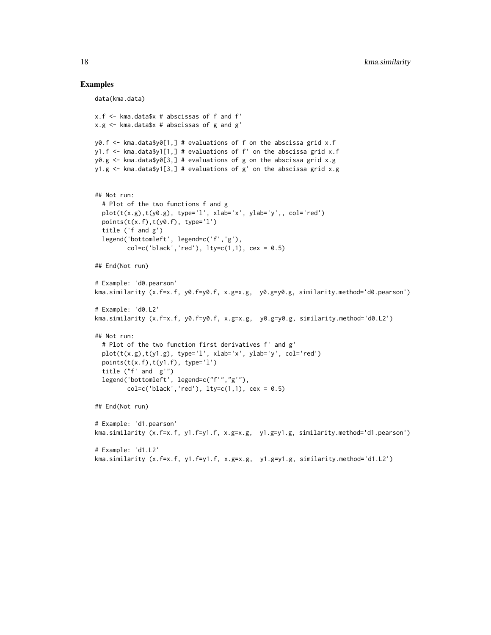# Examples

```
data(kma.data)
x.f <- kma.data$x # abscissas of f and f'
x.g < - kma.data$x # abscissas of g and g'
y0.f <- kma.data$y0[1,] # evaluations of f on the abscissa grid x.f
y1.f <- kma.data$y1[1,] # evaluations of f' on the abscissa grid x.f
y0.g < - kma.data$y0[3,] # evaluations of g on the abscissa grid x.g
y1.g <- kma.data$y1[3,] # evaluations of g' on the abscissa grid x.g
## Not run:
  # Plot of the two functions f and g
  plot(t(x.g),t(y0.g), type='l', xlab='x', ylab='y',, col='red')
  points(t(x.f),t(y0.f), type='l')
  title ('f and g')
  legend('bottomleft', legend=c('f','g'),
         col = c('black', 'red'), 1ty = c(1,1), cex = 0.5)## End(Not run)
# Example: 'd0.pearson'
kma.similarity (x.f=x.f, y0.f=y0.f, x.g=x.g, y0.g=y0.g, similarity.method='d0.pearson')
# Example: 'd0.L2'
kma.similarity (x.f=x.f, y0.f=y0.f, x.g=x.g, y0.g=y0.g, similarity.method='d0.L2')
## Not run:
  # Plot of the two function first derivatives f' and g'
  plot(t(x.g),t(y1.g), type='l', xlab='x', ylab='y', col='red')
  points(t(x.f),t(y1.f), type='l')
  title ("f' and g'")
  legend('bottomleft', legend=c("f'","g'"),
         col=c('black', 'red'), 1ty=c(1,1), cex = 0.5)## End(Not run)
# Example: 'd1.pearson'
kma.similarity (x.f=x.f, y1.f=y1.f, x.g=x.g, y1.g=y1.g, similarity.method='d1.pearson')
# Example: 'd1.L2'
kma.similarity (x.f=x.f, y1.f=y1.f, x.g=x.g, y1.g=y1.g, similarity.method='d1.L2')
```